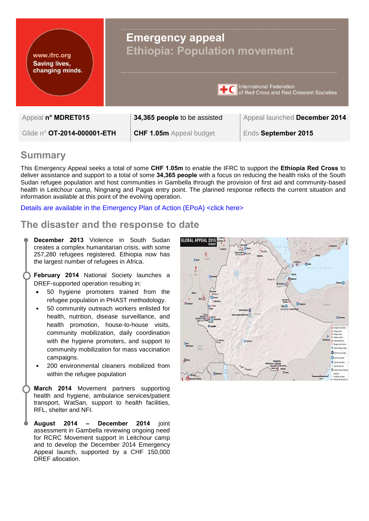

# **Summary**

This Emergency Appeal seeks a total of some **CHF 1.05m** to enable the IFRC to support the **Ethiopia Red Cross** to deliver assistance and support to a total of some **34,365 people** with a focus on reducing the health risks of the South Sudan refugee population and host communities in Gambella through the provision of first aid and community-based health in Leitchour camp, Ningnang and Pagak entry point. The planned response reflects the current situation and information available at this point of the evolving operation.

#### [Details are available in the Emergency Plan of Action \(EPoA\) <click here>](http://adore.ifrc.org/Download.aspx?FileId=69591)

# **The disaster and the response to date**

- **December 2013** Violence in South Sudan creates a complex humanitarian crisis, with some 257,280 refugees registered. Ethiopia now has the largest number of refugees in Africa.
	- **February 2014** National Society launches a DREF-supported operation resulting in:
		- 50 hygiene promoters trained from the refugee population in PHAST methodology.
		- 50 community outreach workers enlisted for health, nutrition, disease surveillance, and health promotion, house-to-house visits, community mobilization, daily coordination with the hygiene promoters, and support to community mobilization for mass vaccination campaigns.
		- 200 environmental cleaners mobilized from within the refugee population

**March 2014** Movement partners supporting health and hygiene, ambulance services/patient transport, WatSan, support to health facilities, RFL, shelter and NFI.

**August 2014 – December 2014** joint assessment in Gambella reviewing ongoing need for RCRC Movement support in Leitchour camp and to develop the December 2014 Emergency Appeal launch, supported by a CHF 150,000 DREF allocation.

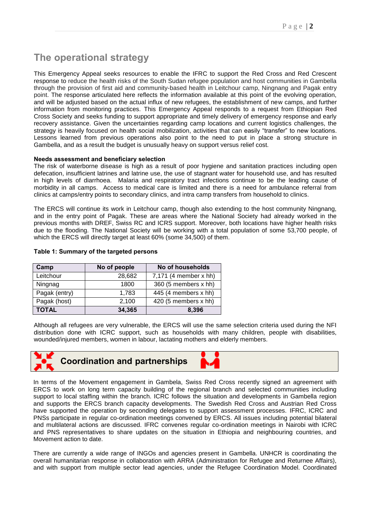# **The operational strategy**

This Emergency Appeal seeks resources to enable the IFRC to support the Red Cross and Red Crescent response to reduce the health risks of the South Sudan refugee population and host communities in Gambella through the provision of first aid and community-based health in Leitchour camp, Ningnang and Pagak entry point. The response articulated here reflects the information available at this point of the evolving operation, and will be adjusted based on the actual influx of new refugees, the establishment of new camps, and further information from monitoring practices. This Emergency Appeal responds to a request from Ethiopian Red Cross Society and seeks funding to support appropriate and timely delivery of emergency response and early recovery assistance. Given the uncertainties regarding camp locations and current logistics challenges, the strategy is heavily focused on health social mobilization, activities that can easily "transfer" to new locations. Lessons learned from previous operations also point to the need to put in place a strong structure in Gambella, and as a result the budget is unusually heavy on support versus relief cost.

#### **Needs assessment and beneficiary selection**

The risk of waterborne disease is high as a result of poor hygiene and sanitation practices including open defecation, insufficient latrines and latrine use, the use of stagnant water for household use, and has resulted in high levels of diarrhoea. Malaria and respiratory tract infections continue to be the leading cause of morbidity in all camps. Access to medical care is limited and there is a need for ambulance referral from clinics at camps/entry points to secondary clinics, and intra camp transfers from household to clinics.

The ERCS will continue its work in Leitchour camp, though also extending to the host community Ningnang, and in the entry point of Pagak. These are areas where the National Society had already worked in the previous months with DREF, Swiss RC and ICRS support. Moreover, both locations have higher health risks due to the flooding. The National Society will be working with a total population of some 53,700 people, of which the ERCS will directly target at least 60% (some 34,500) of them.

### **Table 1: Summary of the targeted persons**

| Camp          | No of people | No of households        |
|---------------|--------------|-------------------------|
| Leitchour     | 28,682       | 7,171 (4 member $x$ hh) |
| Ningnag       | 1800         | 360 (5 members x hh)    |
| Pagak (entry) | 1.783        | 445 (4 members x hh)    |
| Pagak (host)  | 2,100        | 420 (5 members $x$ hh)  |
| <b>TOTAL</b>  | 34,365       | 8,396                   |

Although all refugees are very vulnerable, the ERCS will use the same selection criteria used during the NFI distribution done with ICRC support, such as households with many children, people with disabilities, wounded/injured members, women in labour, lactating mothers and elderly members.



**Coordination and partnerships**



In terms of the Movement engagement in Gambela, Swiss Red Cross recently signed an agreement with ERCS to work on long term capacity building of the regional branch and selected communities including support to local staffing within the branch. ICRC follows the situation and developments in Gambella region and supports the ERCS branch capacity developments. The Swedish Red Cross and Austrian Red Cross have supported the operation by seconding delegates to support assessment processes. IFRC, ICRC and PNSs participate in regular co-ordination meetings convened by ERCS. All issues including potential bilateral and multilateral actions are discussed. IFRC convenes regular co-ordination meetings in Nairobi with ICRC and PNS representatives to share updates on the situation in Ethiopia and neighbouring countries, and Movement action to date.

There are currently a wide range of INGOs and agencies present in Gambella. UNHCR is coordinating the overall humanitarian response in collaboration with ARRA (Administration for Refugee and Returnee Affairs), and with support from multiple sector lead agencies, under the Refugee Coordination Model. Coordinated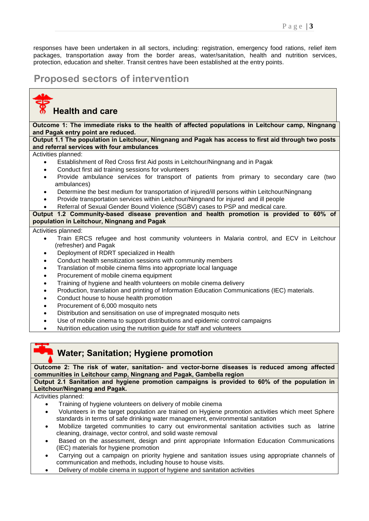responses have been undertaken in all sectors, including: registration, emergency food rations, relief item packages, transportation away from the border areas, water/sanitation, health and nutrition services, protection, education and shelter. Transit centres have been established at the entry points.

## **Proposed sectors of intervention**

# **Health and care**

**Outcome 1: The immediate risks to the health of affected populations in Leitchour camp, Ningnang and Pagak entry point are reduced.**

#### **Output 1.1 The population in Leitchour, Ningnang and Pagak has access to first aid through two posts and referral services with four ambulances**

Activities planned:

- Establishment of Red Cross first Aid posts in Leitchour/Ningnang and in Pagak
- Conduct first aid training sessions for volunteers
- Provide ambulance services for transport of patients from primary to secondary care (two ambulances)
- Determine the best medium for transportation of injured/ill persons within Leitchour/Ningnang
- Provide transportation services within Leitchour/Ningnand for injured and ill people
- Referral of Sexual Gender Bound Violence (SGBV) cases to PSP and medical care.

**Output 1.2 Community-based disease prevention and health promotion is provided to 60% of population in Leitchour, Ningnang and Pagak**

Activities planned:

- Train ERCS refugee and host community volunteers in Malaria control, and ECV in Leitchour (refresher) and Pagak
- Deployment of RDRT specialized in Health
- Conduct health sensitization sessions with community members
- Translation of mobile cinema films into appropriate local language
- Procurement of mobile cinema equipment
- Training of hygiene and health volunteers on mobile cinema delivery
- Production, translation and printing of Information Education Communications (IEC) materials.
- Conduct house to house health promotion
- Procurement of 6,000 mosquito nets
- Distribution and sensitisation on use of impregnated mosquito nets
- Use of mobile cinema to support distributions and epidemic control campaigns
- Nutrition education using the nutrition guide for staff and volunteers

# **Water; Sanitation; Hygiene promotion**

**Outcome 2: The risk of water, sanitation- and vector-borne diseases is reduced among affected communities in Leitchour camp, Ningnang and Pagak, Gambella region**

#### **Output 2.1 Sanitation and hygiene promotion campaigns is provided to 60% of the population in Leitchour/Ningnang and Pagak.**

Activities planned:

- Training of hygiene volunteers on delivery of mobile cinema
- Volunteers in the target population are trained on Hygiene promotion activities which meet Sphere standards in terms of safe drinking water management, environmental sanitation
- Mobilize targeted communities to carry out environmental sanitation activities such as latrine cleaning, drainage, vector control, and solid waste removal
- Based on the assessment, design and print appropriate Information Education Communications (IEC) materials for hygiene promotion
- Carrying out a campaign on priority hygiene and sanitation issues using appropriate channels of communication and methods, including house to house visits.
- Delivery of mobile cinema in support of hygiene and sanitation activities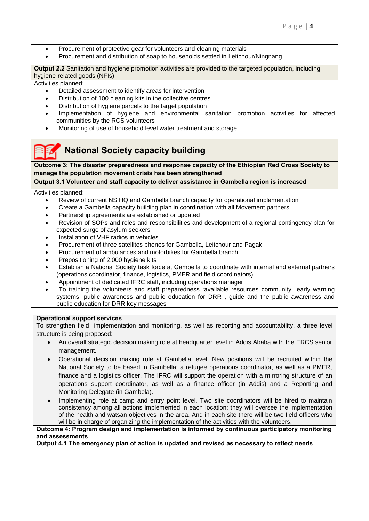- Procurement of protective gear for volunteers and cleaning materials
- Procurement and distribution of soap to households settled in Leitchour/Ningnang

**Output 2.2** Sanitation and hygiene promotion activities are provided to the targeted population, including hygiene-related goods (NFIs)

Activities planned:

- Detailed assessment to identify areas for intervention
- Distribution of 100 cleaning kits in the collective centres
- Distribution of hygiene parcels to the target population
- Implementation of hygiene and environmental sanitation promotion activities for affected communities by the RCS volunteers
- Monitoring of use of household level water treatment and storage

# **National Society capacity building**

**Outcome 3: The disaster preparedness and response capacity of the Ethiopian Red Cross Society to manage the population movement crisis has been strengthened**

**Output 3.1 Volunteer and staff capacity to deliver assistance in Gambella region is increased**

#### Activities planned:

- Review of current NS HQ and Gambella branch capacity for operational implementation
- Create a Gambella capacity building plan in coordination with all Movement partners
- Partnership agreements are established or updated
- Revision of SOPs and roles and responsibilities and development of a regional contingency plan for expected surge of asylum seekers
- Installation of VHF radios in vehicles.
- Procurement of three satellites phones for Gambella, Leitchour and Pagak
- Procurement of ambulances and motorbikes for Gambella branch
- Prepositioning of 2,000 hygiene kits
- Establish a National Society task force at Gambella to coordinate with internal and external partners (operations coordinator, finance, logistics, PMER and field coordinators)
- Appointment of dedicated IFRC staff, including operations manager
- To training the volunteers and staff preparedness :available resources community early warning systems, public awareness and public education for DRR , guide and the public awareness and public education for DRR key messages

#### **Operational support services**

To strengthen field implementation and monitoring, as well as reporting and accountability, a three level structure is being proposed:

- An overall strategic decision making role at headquarter level in Addis Ababa with the ERCS senior management.
- Operational decision making role at Gambella level. New positions will be recruited within the National Society to be based in Gambella: a refugee operations coordinator, as well as a PMER, finance and a logistics officer. The IFRC will support the operation with a mirroring structure of an operations support coordinator, as well as a finance officer (in Addis) and a Reporting and Monitoring Delegate (in Gambela).
- Implementing role at camp and entry point level. Two site coordinators will be hired to maintain consistency among all actions implemented in each location; they will oversee the implementation of the health and watsan objectives in the area. And in each site there will be two field officers who will be in charge of organizing the implementation of the activities with the volunteers.

**Outcome 4: Program design and implementation is informed by continuous participatory monitoring and assessments**

**Output 4.1 The emergency plan of action is updated and revised as necessary to reflect needs**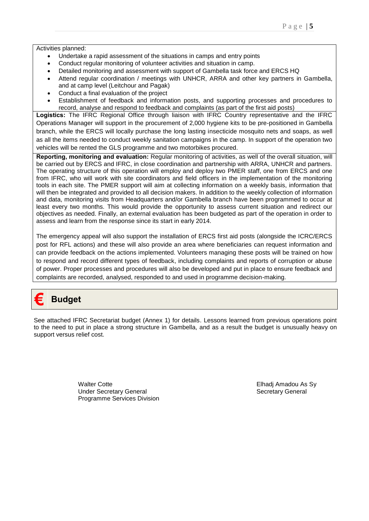Activities planned:

- Undertake a rapid assessment of the situations in camps and entry points
- Conduct regular monitoring of volunteer activities and situation in camp.
- Detailed monitoring and assessment with support of Gambella task force and ERCS HQ
- Attend regular coordination / meetings with UNHCR, ARRA and other key partners in Gambella, and at camp level (Leitchour and Pagak)
- Conduct a final evaluation of the project
- Establishment of feedback and information posts, and supporting processes and procedures to record, analyse and respond to feedback and complaints (as part of the first aid posts)

**Logistics:** The IFRC Regional Office through liaison with IFRC Country representative and the IFRC Operations Manager will support in the procurement of 2,000 hygiene kits to be pre-positioned in Gambella branch, while the ERCS will locally purchase the long lasting insecticide mosquito nets and soaps, as well as all the items needed to conduct weekly sanitation campaigns in the camp. In support of the operation two vehicles will be rented the GLS programme and two motorbikes procured.

**Reporting, monitoring and evaluation:** Regular monitoring of activities, as well of the overall situation, will be carried out by ERCS and IFRC, in close coordination and partnership with ARRA, UNHCR and partners. The operating structure of this operation will employ and deploy two PMER staff, one from ERCS and one from IFRC, who will work with site coordinators and field officers in the implementation of the monitoring tools in each site. The PMER support will aim at collecting information on a weekly basis, information that will then be integrated and provided to all decision makers. In addition to the weekly collection of information and data, monitoring visits from Headquarters and/or Gambella branch have been programmed to occur at least every two months. This would provide the opportunity to assess current situation and redirect our objectives as needed. Finally, an external evaluation has been budgeted as part of the operation in order to assess and learn from the response since its start in early 2014.

The emergency appeal will also support the installation of ERCS first aid posts (alongside the ICRC/ERCS post for RFL actions) and these will also provide an area where beneficiaries can request information and can provide feedback on the actions implemented. Volunteers managing these posts will be trained on how to respond and record different types of feedback, including complaints and reports of corruption or abuse of power. Proper processes and procedures will also be developed and put in place to ensure feedback and complaints are recorded, analysed, responded to and used in programme decision-making.

# **€ Budget**

See attached IFRC Secretariat budget [\(Annex 1\)](#page-6-0) for details. Lessons learned from previous operations point to the need to put in place a strong structure in Gambella, and as a result the budget is unusually heavy on support versus relief cost.

> Walter Cotte **Elhadj Amadou As Sy** Under Secretary General Secretary General Secretary General Programme Services Division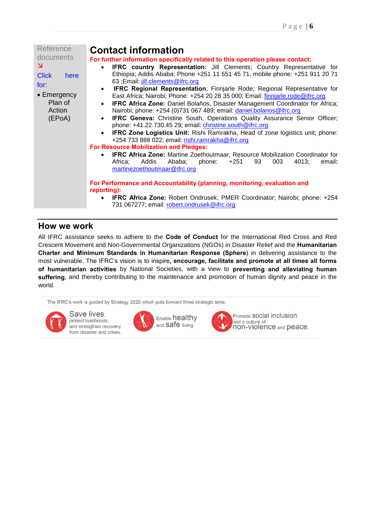Reference documents  $\overline{\mathsf{N}}$ 

Click here for:

• Emergency Plan of Action (EPoA)

### **Contact information**

**For further information specifically related to this operation please contact:**

- **IFRC country Representation:** Jill Clements; Country Representative for Ethiopia; Addis Ababa; Phone +251 11 551 45 71, mobile phone: +251 911 20 71 63 ;Email: [jill.clements@ifrc.org](mailto:jill.clements@ifrc.org)
- **IFRC Regional Representation**: Finnjarle Rode; Regional Representative for East Africa; Nairobi; Phone: +254 20 28 35 000; Email: [finnjarle.rode@ifrc.org](mailto:finnjarle.rode@ifrc.org)
- **IFRC Africa Zone:** Daniel Bolaños, Disaster Management Coordinator for Africa; Nairobi; phone: +254 (0)731 067 489; email: [daniel.bolanos@ifrc.org](mailto:daniel.bolanos@ifrc.org)
- **IFRC Geneva:** Christine South, Operations Quality Assurance Senior Officer; phone: +41.22.730.45 29; email: *christine.south@ifrc.org*
- **IFRC Zone Logistics Unit:** Rishi Ramrakha, Head of zone logistics unit; phone: +254 733 888 022; email: [rishi.ramrakha@ifrc.org](mailto:rishi.ramrakha@ifrc.org)
- **For Resource Mobilization and Pledges:**
	- **IFRC Africa Zone:** Martine Zoethoutmaar, Resource Mobilization Coordinator for Africa; Addis Ababa; phone: +251 93 003 4013; email**:**  [martinezoethoutmaar@ifrc.org](mailto:martinezoethoutmaar@ifrc.org)

**For Performance and Accountability (planning, monitoring, evaluation and reporting):**

 **IFRC Africa Zone:** Robert Ondrusek, PMER Coordinator; Nairobi; phone: +254 731 067277; email: [robert.ondrusek@ifrc.org](mailto:robert.ondrusek@ifrc.org)

### **How we work**

All IFRC assistance seeks to adhere to the **Code of Conduct** for the International Red Cross and Red Crescent Movement and Non-Governmental Organizations (NGOs) in Disaster Relief and the **Humanitarian Charter and Minimum Standards in Humanitarian Response (Sphere**) in delivering assistance to the most vulnerable. The IFRC's vision is to inspire**, encourage, facilitate and promote at all times all forms of humanitarian activities** by National Societies, with a view to **preventing and alleviating human suffering**, and thereby contributing to the maintenance and promotion of human dignity and peace in the world.

The IFRC's work is guided by Strategy 2020 which puts forward three strategic aims:



Save lives. protect livelihoods. and strengthen recovery from disaster and crises.





Promote SOCial inclusion and a culture of non-violence and peace.